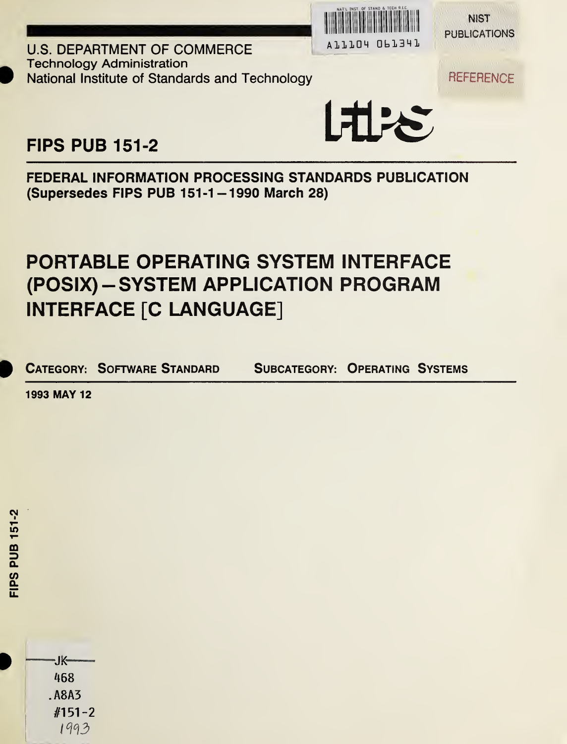

**NIST PUBLICATIONS** 

**U.S. DEPARTMENT OF COMMERCE** Technology Administration National Institute of Standards and Technology National Institute of Standards and Technology



FIPS PUB 151-2

FEDERAL INFORMATION PROCESSING STANDARDS PUBLICATION (Supersedes FIPS PUB 151-1-1990 March 28)

# PORTABLE OPERATING SYSTEM INTERFACE (POSIX) - SYSTEM APPLICATION PROGRAM INTERFACE [C LANGUAGE]

CATEGORY: SOFTWARE STANDARD SUBCATEGORY: OPERATING SYSTEMS

1993 MAY 12

468 . A8A3 //151-2 1993

-JK—

FIPS PUB 151-2

**EIPS PUB 151-2**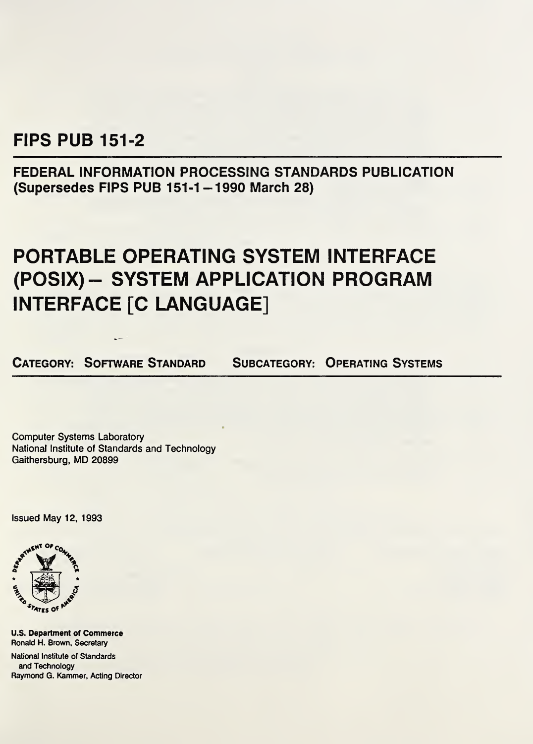# FIPS PUB 151-2

FEDERAL INFORMATION PROCESSING STANDARDS PUBLICATION (Supersedes FIPS PUB 151-1-1990 March 28)

# PORTABLE OPERATING SYSTEM INTERFACE (POSIX)- SYSTEM APPLICATION PROGRAM INTERFACE [C LANGUAGE]

CATEGORY: SOFTWARE STANDARD SUBCATEGORY: OPERATING SYSTEMS

Computer Systems Laboratory National Institute of Standards and Technology Gaithersburg, MD 20899

Issued May 12, 1993



U.S. Department of Commerce Ronald H. Brown, Secretary

National Institute of Standards and Technology Raymond G. Kammer, Acting Director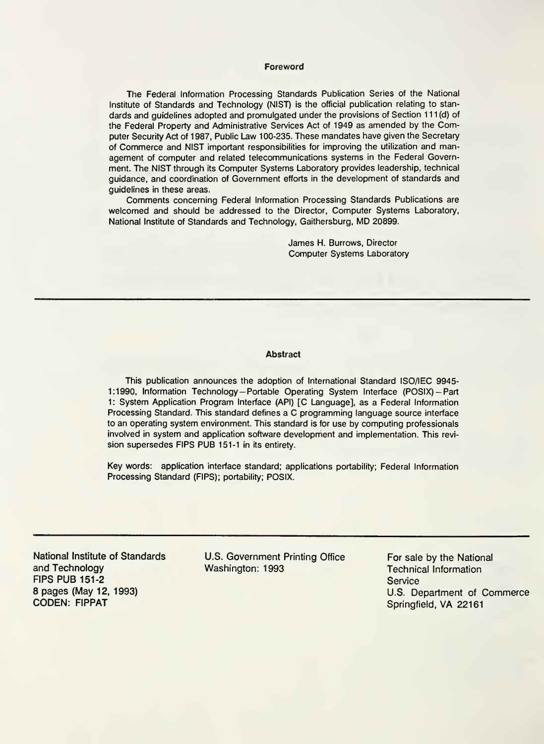#### Foreword

The Federal Information Processing Standards Publication Series of the National Institute of Standards and Technology (NIST) is the official publication relating to standards and guidelines adopted and promulgated under the provisions of Section 111 (d) of the Federal Property and Administrative Services Act of 1949 as amended by the Com puter Security Act of 1987, Public Law 100-235. These mandates have given the Secretary of Commerce and NIST important responsibilities for improving the utilization and man agement of computer and related telecommunications systems in the Federal Government. The NIST through its Computer Systems Laboratory provides leadership, technical guidance, and coordination of Government efforts in the development of standards and guidelines in these areas.

Comments concerning Federal Information Processing Standards Publications are welcomed and should be addressed to the Director, Computer Systems Laboratory, National Institute of Standards and Technology, Gaithersburg, MD 20899.

> James H. Burrows, Director Computer Systems Laboratory

#### Abstract

This publication announces the adoption of International Standard ISO/IEC 9945- 1:1990, Information Technology-Portable Operating System Interface (POSIX)-Part 1: System Application Program Interface (API) [C Language], as a Federal Information Processing Standard. This standard defines a C programming language source interface to an operating system environment. This standard is for use by computing professionals involved in system and application software development and implementation. This revision supersedes FIPS PUB 151-1 in its entirety.

Key words: application interface standard; applications portability; Federal Information Processing Standard (FIPS); portability; POSIX.

and Technology FIPS PUB 151-2 8 pages (May 12, 1993) CODEN: FIPPAT

National Institute of Standards U.S. Government Printing Office Washington: 1993

For sale by the National Technical Information **Service** U.S. Department of Commerce Springfield, VA 22161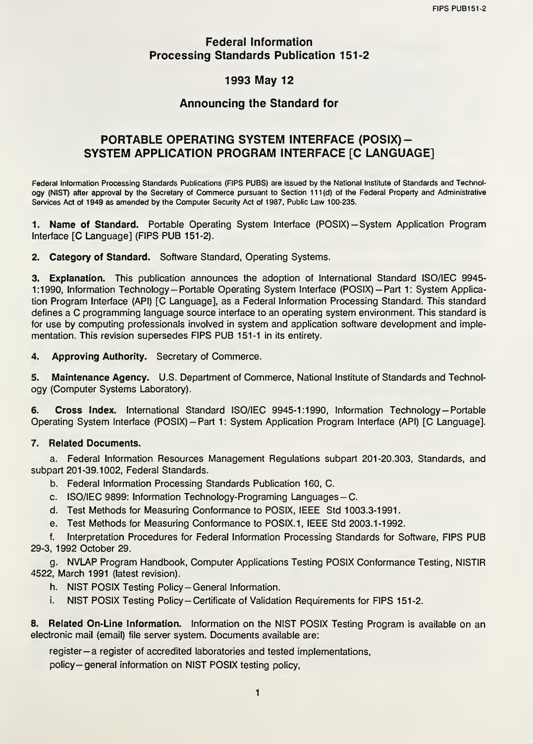### Federal Information Processing Standards Publication 151-2

# 1993 May 12

## Announcing the Standard for

## PORTABLE OPERATING SYSTEM INTERFACE (POSIX) - SYSTEM APPLICATION PROGRAM INTERFACE [C LANGUAGE]

Federal Information Processing Standards Publications (FIPS PUBS) are issued by the National Institute of Standards and Technology (NIST) after approval by the Secretary of Commerce pursuant to Section 111 (d) of the Federal Property and Administrative Services Act of 1949 as amended by the Computer Security Act of 1987, Public Law 100-235.

1. Name of Standard. Portable Operating System Interface (POSIX)-System Application Program Interface [C Language] (FIPS PUB 151-2).

2. Category of Standard. Software Standard, Operating Systems.

3. Explanation. This publication announces the adoption of International Standard ISO/IEC 9945- 1:1990, Information Technology-Portable Operating System Interface (POSIX)-Part 1: System Application Program Interface (API) [C Language], as a Federal Information Processing Standard. This standard defines a C programming language source interface to an operating system environment. This standard is for use by computing professionals involved in system and application software development and implementation. This revision supersedes FIPS PUB 151-1 in its entirety.

4. Approving Authority. Secretary of Commerce.

5. Maintenance Agency. U.S. Department of Commerce, National Institute of Standards and Technology (Computer Systems Laboratory).

6. Cross index. International Standard ISO/IEC 9945-1:1990, Information Technology—Portable Operating System Interface (POSIX)-Part 1: System Application Program Interface (API) [C Language].

#### 7. Related Documents.

a. Federal Information Resources Management Regulations subpart 201-20.303, Standards, and subpart 201-39.1002, Federal Standards.

- b. Federal Information Processing Standards Publication 160, C.
- c. ISO/IEC 9899: Information Technology-Programing Languages—C.
- d. Test Methods for Measuring Conformance to POSIX, IEEE Std 1003.3-1991.
- e. Test Methods for Measuring Conformance to POSIX.1, IEEE Std 2003.1-1992.

f. Interpretation Procedures for Federal Information Processing Standards for Software, FIPS PUB 29-3, 1992 October 29.

g. NVLAP Program Handbook, Computer Applications Testing POSIX Conformance Testing, NISTIR 4522, March 1991 (latest revision).

- h. NIST POSIX Testing Policy-General Information.
- i. NIST POSIX Testing Policy-Certificate of Validation Requirements for FIPS 151-2.

8. Related On-Line Information. Information on the NIST POSIX Testing Program is available on an electronic mail (email) file server system. Documents available are:

register-a register of accredited laboratories and tested implementations,

policy-general information on NIST POSIX testing policy,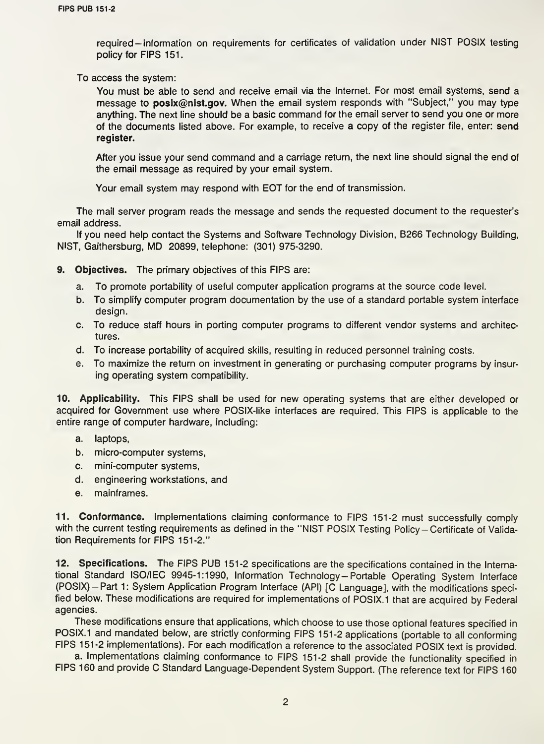required — information on requirements for certificates of validation under NIST POSIX testing policy for FIPS 151.

To access the system:

You must be able to send and receive email via the Internet. For most email systems, send a message to posix@nist.gov. When the email system responds with "Subject," you may type anything. The next line should be a basic command for the email server to send you one or more of the documents listed above. For example, to receive a copy of the register file, enter: send register.

After you issue your send command and a carriage return, the next line should signal the end of the email message as required by your email system.

Your email system may respond with EOT for the end of transmission.

The mail server program reads the message and sends the requested document to the requester's email address.

If you need help contact the Systems and Software Technology Division, B266 Technology Building, NIST, Gaithersburg, MD 20899, telephone: (301)975-3290.

9. Objectives. The primary objectives of this FIPS are:

- a. To promote portability of useful computer application programs at the source code level.
- b. To simplify computer program documentation by the use of a standard portable system interface design.
- c. To reduce staff hours in porting computer programs to different vendor systems and architectures.
- d. To increase portability of acquired skills, resulting in reduced personnel training costs.
- e. To maximize the return on investment in generating or purchasing computer programs by insuring operating system compatibility.

10. Applicability. This FIPS shall be used for new operating systems that are either developed or acquired for Government use where POSIX-like interfaces are required. This FIPS is applicable to the entire range of computer hardware, including:

- a. laptops,
- b. micro-computer systems,
- c. mini-computer systems,
- d. engineering workstations, and
- e. mainframes.

11. Conformance. Implementations claiming conformance to FIPS 151-2 must successfully comply with the current testing requirements as defined in the "NIST POSIX Testing Policy-Certificate of Validation Requirements for FIPS 151-2."

12. Specifications. The FIPS PUB 151-2 specifications are the specifications contained in the International Standard ISO/IEC 9945-1:1990, Information Technology—Portable Operating System Interface (POSIX)-Part 1: System Application Program Interface (API) [C Language], with the modifications specified below. These modifications are required for implementations of POSIX. <sup>1</sup> that are acquired by Federal agencies.

These modifications ensure that applications, which choose to use those optional features specified in POSIX.1 and mandated below, are strictly conforming FIPS 151-2 applications (portable to all conforming FIPS 151-2 implementations). For each modification a reference to the associated POSIX text is provided.

a. Implementations claiming conformance to FIPS 151-2 shall provide the functionality specified in FIPS 160 and provide C Standard Language-Dependent System Support. (The reference text for FIPS 160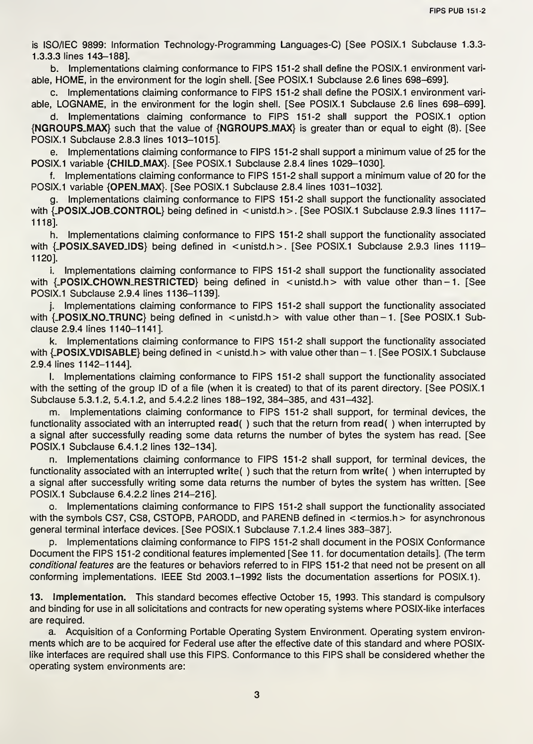is ISO/IEC 9899: Information Technology-Programming Languages-C) [See POSIX.1 Subclause 1.3.3- 1.3.3.3 lines 143-188].

b. Implementations claiming conformance to FIPS 151-2 shall define the POSIX.1 environment variable, HOME, in the environment for the login shell. [See POSIX.1 Subclause 2.6 lines 698-699].

c. Implementations claiming conformance to FIPS 151-2 shall define the POSIX.1 environment variable, LOGNAME, in the environment for the login shell. [See POSIX.1 Subclause 2.6 lines 698-699].

d. Implementations claiming conformance to FIPS 151-2 shall support the POSIX.1 option {NGROUPSLMAX} such that the value of {NGROUPS-MAX} is greater than or equal to eight (8). [See POSIX.1 Subclause 2.8.3 lines 1013-1015].

e. Implementations claiming conformance to FIPS 151-2 shall support a minimum value of 25 for the POSIX.1 variable {CHILD\_MAX}. [See POSIX.1 Subclause 2.8.4 lines 1029-1030].

f. Implementations claiming conformance to FIPS 151-2 shall support a minimum value of 20 for the POSIX.1 variable {OPEN\_MAX}. [See POSIX.1 Subclause 2.8.4 lines 1031-1032],

g. Implementations claiming conformance to FIPS 151-2 shall support the functionality associated with  $\{POSIX.JOB\_CONTROL\}$  being defined in  $\le$  unistd.h > . [See POSIX.1 Subclause 2.9.3 lines 1117– 1118].

h. Implementations claiming conformance to FIPS 151-2 shall support the functionality associated with  $\{POSIX.SAVEDIDS\}$  being defined in  $\langle$  unistd.h>. [See POSIX.1 Subclause 2.9.3 lines 1119-1120].

i. Implementations claiming conformance to FIPS 151-2 shall support the functionality associated with {\_POSIX\_CHOWN\_RESTRICTED} being defined in <unistd.h> with value other than-1. [See POSIX.1 Subclause 2.9.4 lines 1136-1139].

j. Implementations claiming conformance to FIPS 151-2 shall support the functionality associated with  $\{POSIX.NO_TRUNC\}$  being defined in  $\le$  unistd.h  $>$  with value other than - 1. [See POSIX.1 Subclause 2.9.4 lines 1140-1141].

k. Implementations claiming conformance to FIPS 151-2 shall support the functionality associated with  $\{$  POSIX\_VDISABLE $\}$  being defined in < unistd.h > with value other than  $-1$ . [See POSIX.1 Subclause 2.9.4 lines 1142-1144].

l. Implementations claiming conformance to FIPS 151-2 shall support the functionality associated with the setting of the group ID of a file (when it is created) to that of its parent directory. [See POSIX.1] Subclause 5.3.1.2, 5.4.1.2, and 5.4.2.2 lines 188-192, 384-385, and 431-432].

m. Implementations claiming conformance to FIPS 151-2 shall support, for terminal devices, the functionality associated with an interrupted read( ) such that the return from read( ) when interrupted by a signal after successfully reading some data returns the number of bytes the system has read. [See POSIX.1 Subclause 6.4.1.2 lines 132-134].

n. Implementations claiming conformance to FIPS 151-2 shall support, for terminal devices, the functionality associated with an interrupted write( ) such that the return from write( ) when interrupted by a signal after successfully writing some data returns the number of bytes the system has written. [See POSIX.1 Subclause 6.4.2.2 lines 214-216].

o. Implementations claiming conformance to FIPS 151-2 shall support the functionality associated with the symbols CS7, CS8, CSTOPB, PARODD, and PARENB defined in <termios.h> for asynchronous general terminal interface devices. [See POSIX.1 Subclause 7.1.2.4 lines 383-387].

p. Implementations claiming conformance to FIPS 151-2 shall document in the POSIX Conformance Document the FIPS 151-2 conditional features implemented [See 11. for documentation details]. (The term conditional features are the features or behaviors referred to in FIPS 151-2 that need not be present on all conforming implementations. IEEE Std 2003.1-1992 lists the documentation assertions for POSIX.1).

13. Implementation. This standard becomes effective October 15, 1993. This standard is compulsory and binding for use in all solicitations and contracts for new operating systems where POSIX-like interfaces are required.

a. Acquisition of a Conforming Portable Operating System Environment. Operating system environments which are to be acquired for Federal use after the effective date of this standard and where POSIXlike interfaces are required shall use this FIPS. Conformance to this FIPS shall be considered whether the operating system environments are: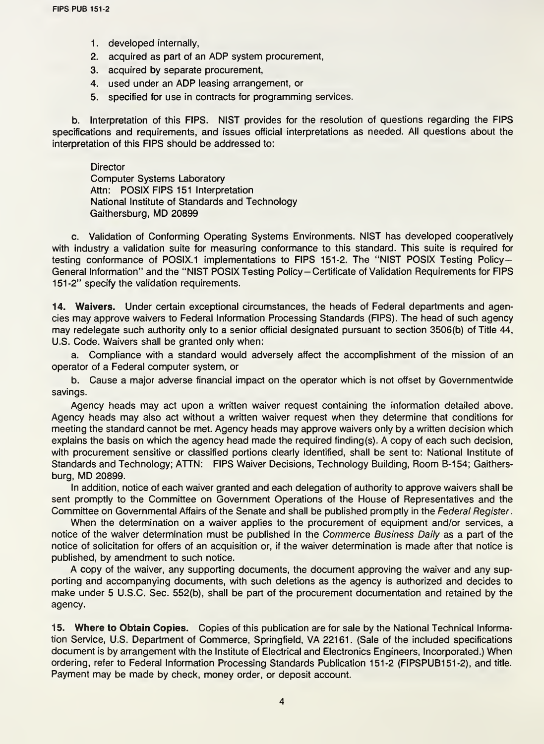- 1. developed internally,
- 2. acquired as part of an ADP system procurement,
- 3. acquired by separate procurement,
- 4. used under an ADP leasing arrangement, or
- 5. specified for use in contracts for programming services.

b. Interpretation of this FIPS. NIST provides for the resolution of questions regarding the FIPS specifications and requirements, and issues official interpretations as needed. All questions about the interpretation of this FIPS should be addressed to:

#### **Director**

Computer Systems Laboratory Attn: POSIX FIPS 151 Interpretation National Institute of Standards and Technology Gaithersburg, MD 20899

c. Validation of Conforming Operating Systems Environments. NIST has developed cooperatively with industry a validation suite for measuring conformance to this standard. This suite is required for testing conformance of POSIX.1 implementations to FIPS 151-2. The "NIST POSIX Testing Policy-General Information" and the "NIST POSIX Testing Policy-Certificate of Validation Requirements for FIPS 151-2" specify the validation requirements.

14. Waivers. Under certain exceptional circumstances, the heads of Federal departments and agencies may approve waivers to Federal Information Processing Standards (FIPS). The head of such agency may redelegate such authority only to a senior official designated pursuant to section 3506(b) of Title 44, U.S. Code. Waivers shall be granted only when:

a. Compliance with a standard would adversely affect the accomplishment of the mission of an operator of a Federal computer system, or

b. Cause a major adverse financial impact on the operator which is not offset by Governmentwide savings.

Agency heads may act upon a written waiver request containing the information detailed above. Agency heads may also act without a written waiver request when they determine that conditions for meeting the standard cannot be met. Agency heads may approve waivers only by a written decision which explains the basis on which the agency head made the required finding(s). A copy of each such decision, with procurement sensitive or classified portions clearly identified, shall be sent to: National Institute of Standards and Technology; ATTN: FIPS Waiver Decisions, Technology Building, Room B-154; Gaithersburg, MD 20899.

In addition, notice of each waiver granted and each delegation of authority to approve waivers shall be sent promptly to the Committee on Government Operations of the House of Representatives and the Committee on Governmental Affairs of the Senate and shall be published promptly in the Federal Register.

When the determination on a waiver applies to the procurement of equipment and/or services, a notice of the waiver determination must be published in the Commerce Business Daily as a part of the notice of solicitation for offers of an acquisition or, if the waiver determination is made after that notice is published, by amendment to such notice.

A copy of the waiver, any supporting documents, the document approving the waiver and any supporting and accompanying documents, with such deletions as the agency is authorized and decides to make under 5 U.S.C. Sec. 552(b), shall be part of the procurement documentation and retained by the agency.

15. Where to Obtain Copies. Copies of this publication are for sale by the National Technical Information Service, U.S. Department of Commerce, Springfield, VA 22161. (Sale of the included specifications document is by arrangement with the Institute of Electrical and Electronics Engineers, Incorporated.) When ordering, refer to Federal Information Processing Standards Publication 151-2 (FIPSPUB151-2), and title. Payment may be made by check, money order, or deposit account.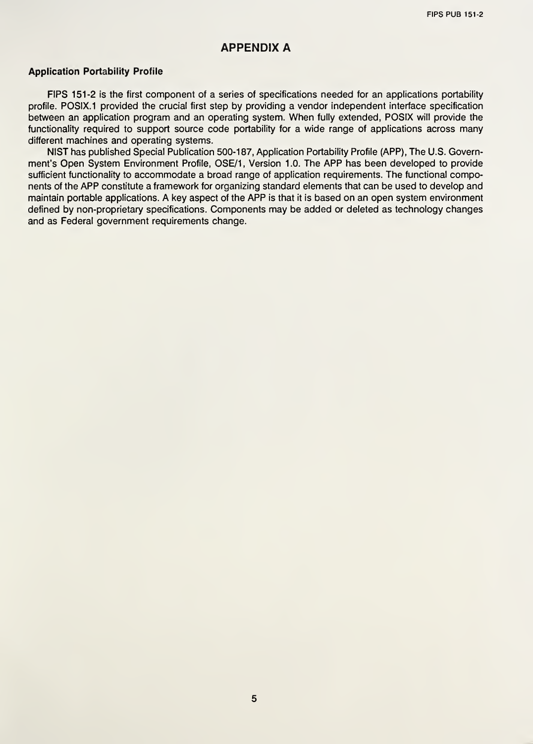#### APPENDIX A

#### Application Portability Profile

FIPS 151-2 is the first component of a series of specifications needed for an applications portability profile. POSIX.1 provided the crucial first step by providing a vendor independent interface specification between an application program and an operating system. When fully extended, POSIX will provide the functionality required to support source code portability for a wide range of applications across many different machines and operating systems.

NIST has published Special Publication 500-187, Application Portability Profile (APP), The U.S. Govern ment's Open System Environment Profile, OSE/1, Version 1.0. The APP has been developed to provide sufficient functionality to accommodate a broad range of application requirements. The functional components of the APP constitute a framework for organizing standard elements that can be used to develop and maintain portable applications. A key aspect of the APP is that it is based on an open system environment defined by non-proprietary specifications. Components may be added or deleted as technology changes and as Federal government requirements change.